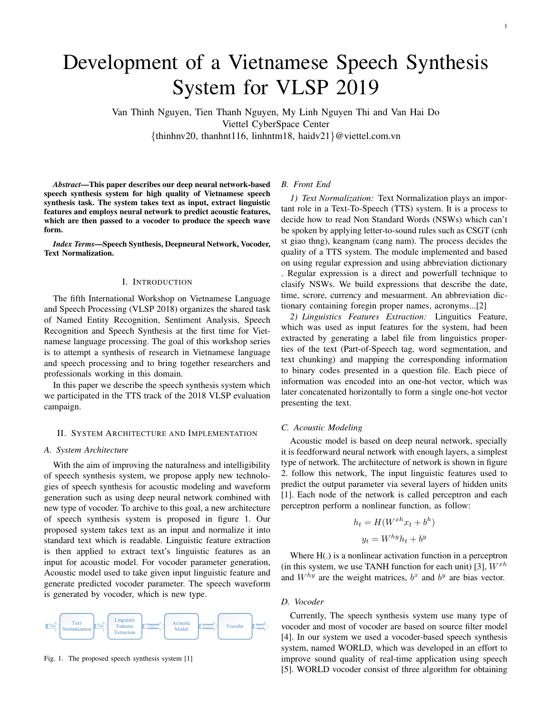# Development of a Vietnamese Speech Synthesis System for VLSP 2019

Van Thinh Nguyen, Tien Thanh Nguyen, My Linh Nguyen Thi and Van Hai Do Viettel CyberSpace Center {thinhnv20, thanhnt116, linhntm18, haidv21}@viettel.com.vn

*Abstract*—This paper describes our deep neural network-based speech synthesis system for high quality of Vietnamese speech synthesis task. The system takes text as input, extract linguistic features and employs neural network to predict acoustic features, which are then passed to a vocoder to produce the speech wave form.

*Index Terms*—Speech Synthesis, Deepneural Network, Vocoder, Text Normalization.

#### I. INTRODUCTION

The fifth International Workshop on Vietnamese Language and Speech Processing (VLSP 2018) organizes the shared task of Named Entity Recognition, Sentiment Analysis, Speech Recognition and Speech Synthesis at the first time for Vietnamese language processing. The goal of this workshop series is to attempt a synthesis of research in Vietnamese language and speech processing and to bring together researchers and professionals working in this domain.

In this paper we describe the speech synthesis system which we participated in the TTS track of the 2018 VLSP evaluation campaign.

#### II. SYSTEM ARCHITECTURE AND IMPLEMENTATION

## *A. System Architecture*

With the aim of improving the naturalness and intelligibility of speech synthesis system, we propose apply new technologies of speech synthesis for acoustic modeling and waveform generation such as using deep neural network combined with new type of vocoder. To archive to this goal, a new architecture of speech synthesis system is proposed in figure 1. Our proposed system takes text as an input and normalize it into standard text which is readable. Linguistic feature extraction is then applied to extract text's linguistic features as an input for acoustic model. For vocoder parameter generation, Acoustic model used to take given input linguistic feature and generate predicted vocoder parameter. The speech waveform is generated by vocoder, which is new type.



Fig. 1. The proposed speech synthesis system [1]

#### *B. Front End*

*1) Text Normalization:* Text Normalization plays an important role in a Text-To-Speech (TTS) system. It is a process to decide how to read Non Standard Words (NSWs) which can't be spoken by applying letter-to-sound rules such as CSGT (cnh st giao thng), keangnam (cang nam). The process decides the quality of a TTS system. The module implemented and based on using regular expression and using abbreviation dictionary

. Regular expression is a direct and powerfull technique to clasify NSWs. We build expressions that describe the date, time, scrore, currency and mesuarment. An abbreviation dictionary containing foregin proper names, acronyms...[2]

*2) Linguistics Features Extraction:* Linguitics Feature, which was used as input features for the system, had been extracted by generating a label file from linguistics properties of the text (Part-of-Speech tag, word segmentation, and text chunking) and mapping the corresponding information to binary codes presented in a question file. Each piece of information was encoded into an one-hot vector, which was later concatenated horizontally to form a single one-hot vector presenting the text.

## *C. Acoustic Modeling*

Acoustic model is based on deep neural network, specially it is feedforward neural network with enough layers, a simplest type of network. The architecture of network is shown in figure 2. follow this network, The input linguistic features used to predict the output parameter via several layers of hidden units [1]. Each node of the network is called perceptron and each perceptron perform a nonlinear function, as follow:

$$
h_t = H(W^{xh}x_t + b^h)
$$

$$
y_t = W^{hy}h_t + b^y
$$

Where  $H(.)$  is a nonlinear activation function in a perceptron (in this system, we use TANH function for each unit) [3],  $W^{xh}$ and  $W^{hy}$  are the weight matrices,  $b^x$  and  $b^y$  are bias vector.

## *D. Vocoder*

Currently, The speech synthesis system use many type of vocoder and most of vocoder are based on source filter model [4]. In our system we used a vocoder-based speech synthesis system, named WORLD, which was developed in an effort to improve sound quality of real-time application using speech [5]. WORLD vocoder consist of three algorithm for obtaining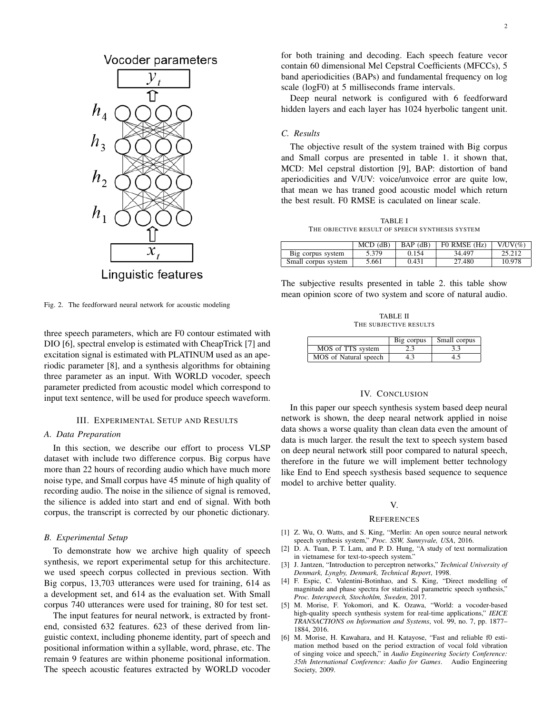

Fig. 2. The feedforward neural network for acoustic modeling

three speech parameters, which are F0 contour estimated with DIO [6], spectral envelop is estimated with CheapTrick [7] and excitation signal is estimated with PLATINUM used as an aperiodic parameter [8], and a synthesis algorithms for obtaining three parameter as an input. With WORLD vocoder, speech parameter predicted from acoustic model which correspond to input text sentence, will be used for produce speech waveform.

#### III. EXPERIMENTAL SETUP AND RESULTS

#### *A. Data Preparation*

In this section, we describe our effort to process VLSP dataset with include two difference corpus. Big corpus have more than 22 hours of recording audio which have much more noise type, and Small corpus have 45 minute of high quality of recording audio. The noise in the silience of signal is removed, the silience is added into start and end of signal. With both corpus, the transcript is corrected by our phonetic dictionary.

#### *B. Experimental Setup*

To demonstrate how we archive high quality of speech synthesis, we report experimental setup for this architecture. we used speech corpus collected in previous section. With Big corpus, 13,703 utterances were used for training, 614 as a development set, and 614 as the evaluation set. With Small corpus 740 utterances were used for training, 80 for test set.

The input features for neural network, is extracted by frontend, consisted 632 features. 623 of these derived from linguistic context, including phoneme identity, part of speech and positional information within a syllable, word, phrase, etc. The remain 9 features are within phoneme positional information. The speech acoustic features extracted by WORLD vocoder for both training and decoding. Each speech feature vecor contain 60 dimensional Mel Cepstral Coefficients (MFCCs), 5 band aperiodicities (BAPs) and fundamental frequency on log scale (logF0) at 5 milliseconds frame intervals.

Deep neural network is configured with 6 feedforward hidden layers and each layer has 1024 hyerbolic tangent unit.

## *C. Results*

The objective result of the system trained with Big corpus and Small corpus are presented in table 1. it shown that, MCD: Mel cepstral distortion [9], BAP: distortion of band aperiodicities and V/UV: voice/unvoice error are quite low, that mean we has traned good acoustic model which return the best result. F0 RMSE is caculated on linear scale.

TABLE I THE OBJECTIVE RESULT OF SPEECH SYNTHESIS SYSTEM

|                     | $MCD$ ( $dB$ ) | $BAP$ ( $dB$ ) | FO RMSE (Hz) | $V/UV(\%)$ |
|---------------------|----------------|----------------|--------------|------------|
| Big corpus system   | 5.379          | 0.154          | 34.497       | 25.212     |
| Small corpus system | 5.661          | 0.431          | 27.480       | 10.978     |

The subjective results presented in table 2. this table show mean opinion score of two system and score of natural audio.

TABLE II THE SUBJECTIVE RESULTS

|                       | Big corpus | Small corpus |
|-----------------------|------------|--------------|
| MOS of TTS system     | 2.3        | 3.3          |
| MOS of Natural speech |            |              |

## IV. CONCLUSION

In this paper our speech synthesis system based deep neural network is shown, the deep nearal network applied in noise data shows a worse quality than clean data even the amount of data is much larger. the result the text to speech system based on deep neural network still poor compared to natural speech, therefore in the future we will implement better technology like End to End speech systhesis based sequence to sequence model to archive better quality.

## V.

#### **REFERENCES**

- [1] Z. Wu, O. Watts, and S. King, "Merlin: An open source neural network speech synthesis system," *Proc. SSW, Sunnyvale, USA*, 2016.
- [2] D. A. Tuan, P. T. Lam, and P. D. Hung, "A study of text normalization in vietnamese for text-to-speech system.'
- [3] J. Jantzen, "Introduction to perceptron networks," *Technical University of Denmark, Lyngby, Denmark, Technical Report*, 1998.
- [4] F. Espic, C. Valentini-Botinhao, and S. King, "Direct modelling of magnitude and phase spectra for statistical parametric speech synthesis," *Proc. Interspeech, Stochohlm, Sweden*, 2017.
- [5] M. Morise, F. Yokomori, and K. Ozawa, "World: a vocoder-based high-quality speech synthesis system for real-time applications," *IEICE TRANSACTIONS on Information and Systems*, vol. 99, no. 7, pp. 1877– 1884, 2016.
- [6] M. Morise, H. Kawahara, and H. Katayose, "Fast and reliable f0 estimation method based on the period extraction of vocal fold vibration of singing voice and speech," in *Audio Engineering Society Conference: 35th International Conference: Audio for Games*. Audio Engineering Society, 2009.